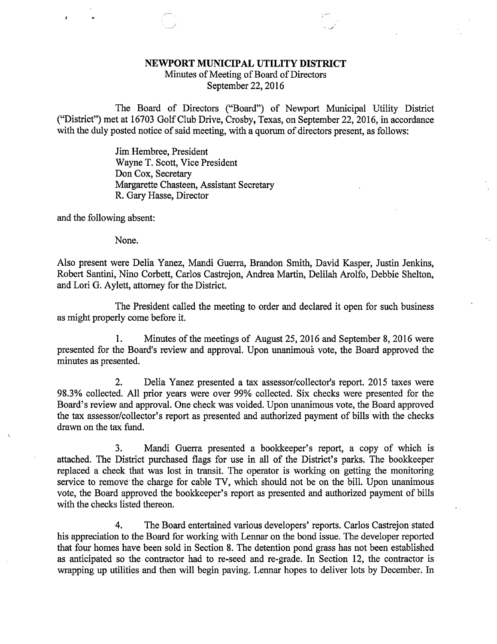## NEWPORT MUNICIPAL UTILITY DISTRICT

Minutes of Meeting of Board of Directors September 22, 2016

The Board of Directors ("Board") of Newport Municipal Utility District ("District") met at 16703 Golf Club Drive, Crosby, Texas, on September 22, 2016, in accordance with the duly posted notice of said meeting, with a quorum of directors present, as follows:

> Jim Hembree, President Wayne T. Scott, Vice President Don Cox, Secretary Margarette Chasteen, Assistant Secretary R. Gary Hasse, Director

and the following absent:

None.

Also present were Delia Yanez, Mandi Guerra, Brandon Smith, David Kasper, Justin Jenkins, Robert Santini, Nino Corbett, Carlos Castrejon, Andrea Martin, Delilah Arolfo, Debbie Shelton, and Lori G. Aylett, attorney for the District.

The President called the meeting to order and declared it open for such business as might properly come before it.

1. Minutes of the meetings of August 25, 2016 and September 8, 2016 were presented for the Board's review and approval. Upon unanimous vote, the Board approved the minutes as presented.

2. Delia Yanez presented a tax assessor/collector's report. 2015 taxes were 98.3% collected. All prior years were over 99% collected. Six checks were presented for the Board's review and approval. One check was voided. Upon unanimous vote, the Board approved the tax assessor/collector's report as presented and authorized payment of bills with the checks drawn on the tax fund.

3. Mandi Guerra presented a bookkeeper's report, a copy of which is attached. The District purchased flags for use in all of the District's parks. The bookkeeper replaced a check that was lost in transit. The operator is working on getting the monitoring service to remove the charge for cable TV, which should not be on the bill. Upon unanimous vote, the Board approved the bookkeeper's report as presented and authorized payment of bills with the checks listed thereon.

4. The Board entertained various developers' reports. Carlos Castrejon stated his appreciation to the Board for working with Lennar on the bond issue. The developer reported that four homes have been sold in Section 8. The detention pond grass has not been established as anticipated so the contractor had to re-seed and re-grade. In Section 12, the contractor is wrapping up utilities and then will begin paving. Lennar hopes to deliver lots by December. In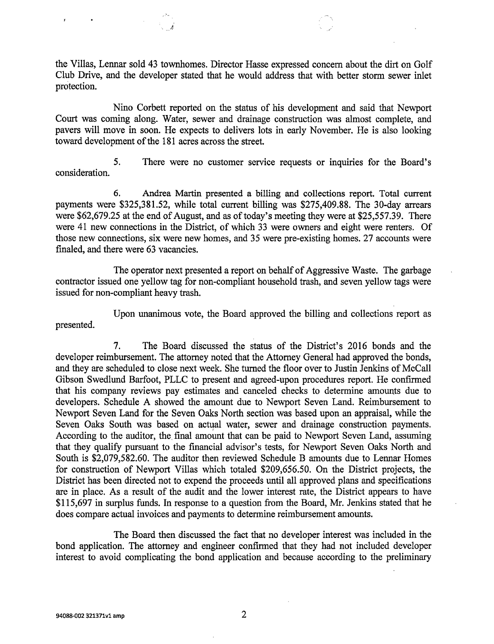the Villas, Lennar sold 43 townhomes. Director Hasse expressed concern about the dirt on Golf Club Drive, and the developer stated that he would address that with better storm sewer inlet protection.

Nino Corbett reported on the status of his development and said that Newport Court was coming along. Water, sewer and drainage construction was almost complete, and pavers will move in soon. He expects to delivers lots in early November. He is also looking toward development of the 181 acres across the street.

5. There were no customer service requests or inquiries for the Board's consideration.

6. Andrea Martin presented a billing and collections report. Total current payments were \$325,381.52, while total current billing was \$275,409.88. The 30-day arrears were \$62,679.25 at the end of August, and as of today's meeting they were at \$25,557.39. There were 41 new connections in the District, of which 33 were owners and eight were renters. Of those new connections, six were new homes, and 35 were pre-existing homes. 27 accounts were finaled, and there were 63 vacancies.

The operator next presented a report on behalf of Aggressive Waste. The garbage contractor issued one yellow tag for non-compliant household trash, and seven yellow tags were issued for non-compliant heavy trash.

Upon unanimous vote, the Board approved the billing and collections report as presented.

7. The Board discussed the status of the District's 2016 bonds and the developer reimbursement. The attorney noted that the Attorney General had approved the bonds, and they are scheduled to close next week. She turned the floor over to Justin Jenkins of McCall Gibson Swedlund Barfoot, PLLC to present and agreed-upon procedures report. He confirmed that his company reviews pay estimates and canceled checks to determine amounts due to developers. Schedule A showed the amount due to Newport Seven Land. Reimbursement to Newport Seven Land for the Seven Oaks North section was based upon an appraisal, while the Seven Oaks South was based on actual water, sewer and drainage construction payments. According to the auditor, the final amount that can be paid to Newport Seven Land, assuming that they qualify pursuant to the financial advisor's tests, for Newport Seven Oaks North and South is \$2,079,582.60. The auditor then reviewed Schedule B amounts due to Lennar Homes for construction of Newport Villas which totaled \$209,656.50. On the District projects, the District has been directed not to expend the proceeds until all approved plans and specifications are in place. As a result of the audit and the lower interest rate, the District appears to have \$115,697 in surplus funds. In response to a question from the Board, Mr. Jenkins stated that he does compare actual invoices and payments to determine reimbursement amounts.

The Board then discussed the fact that no developer interest was included in the bond application. The attorney and engineer confirmed that they had not included developer interest to avoid complicating the bond application and because according to the preliminary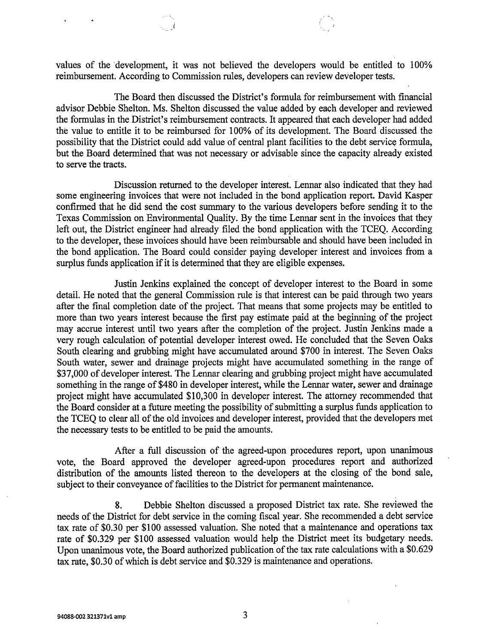values of the development, it was not believed the developers would be entitled to 100% reimbursement. According to Commission rules, developers can review developer tests.

The Board then discussed the District's formula for reimbursement with financial advisor Debbie Shelton. Ms. Shelton discussed the value added by each developer and reviewed the formulas in the District's reimbursement contracts. It appeared that each developer had added the value to entitle it to be reimbursed for 100% of its development. The Board discussed the possibility that the District could add value of central plant facilities to the debt service formula, but the Board determined that was not necessary or advisable since the capacity already existed to serve the tracts.

Discussion returned to the developer interest. Lennar also indicated that they had some engineering invoices that were not included in the bond application report. David Kasper confirmed that he did send the cost summary to the various developers before sending it to the Texas Commission on Environmental Quality. By the time Lennar sent in the invoices that they left out, the District engineer had already filed the bond application with the TCEQ. According to the developer, these invoices should have been reimbursable and should have been included in the bond application. The Board could consider paying developer interest and invoices from a surplus funds application if it is determined that they are eligible expenses.

Justin Jenkins explained the concept of developer interest to the Board in some detail. He noted that the general Commission rule is that interest can be paid through two years after the final completion date of the project. That means that some projects may be entitled to more than two years interest because the first pay estimate paid at the beginning of the project may accrue interest until two years after the completion of the project. Justin Jenkins made a very rough calculation of potential developer interest owed. He concluded that the Seven Oaks South clearing and grubbing might have accumulated around \$700 in interest. The Seven Oaks South water, sewer and drainage projects might have accumulated something in the range of \$37,000 of developer interest. The Lennar clearing and grubbing project might have accumulated something in the range of \$480 in developer interest, while the Lennar water, sewer and drainage project might have accumulated \$10,300 in developer interest. The attorney recommended that the Board consider at a future meeting the possibility of submitting a surplus funds application to the TCEQ to clear all of the old invoices and developer interest, provided that the developers met the necessary tests to be entitled to be paid the amounts.

After a full discussion of the agreed-upon procedures report, upon unanimous vote, the Board approved the developer agreed-upon procedures report and authorized distribution of the amounts listed thereon to the developers at the closing of the bond sale, subject to their conveyance of facilities to the District for permanent maintenance.

8. Debbie Shelton discussed a proposed District tax rate. She reviewed the needs of the District for debt service in the coming fiscal year. She recommended a debt service tax rate of \$0.30 per \$100 assessed valuation. She noted that a maintenance and operations tax rate of \$0.329 per \$100 assessed valuation would help the District meet its budgetary needs. Upon unanimous vote, the Board authorized publication of the tax rate calculations with a \$0.629 tax rate, \$0.30 of which is debt service and \$0.329 is maintenance and operations.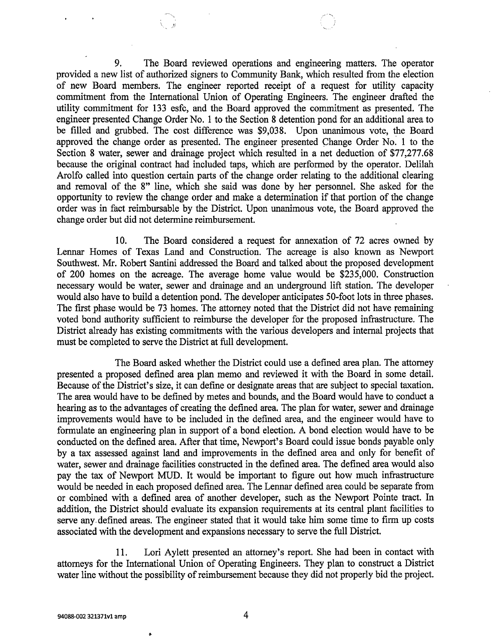9. The Board reviewed operations and engineering matters. The operator provided a new list of authorized signers to Community Bank, which resulted from the election of new Board members. The engineer reported receipt of a request for utility capacity commitment from the International Union of Operating Engineers. The engineer drafted the utility commitment for 133 esfc, and the Board approved the commitment as presented. The engineer presented Change Order No. 1 to the Section 8 detention pond for an additional area to be filled and grubbed. The cost difference was \$9,038. Upon unanimous vote, the Board approved the change order as presented. The engineer presented Change Order No. 1 to the Section 8 water, sewer and drainage project which resulted in a net deduction of \$77,277.68 because the original contract had included taps, which are performed by the operator. Delilah Arolfo called into question certain parts of the change order relating to the additional clearing and removal of the 8" line, which she said was done by her personnel. She asked for the opportunity to review the change order and make a determination if that portion of the change order was in fact reimbursable by the District. Upon unanimous vote, the Board approved the change order but did not determine reimbursement.

10. The Board considered a request for annexation of 72 acres owned by Lennar Homes of Texas Land and Construction. The acreage is also known as Newport Southwest. Mr. Robert Santini addressed the Board and talked about the proposed development of 200 homes on the acreage. The average home value would be \$235,000. Construction necessary would be water, sewer and drainage and an underground lift station. The developer would also have to build a detention pond. The developer anticipates 50-foot lots in three phases. The first phase would be 73 homes. The attorney noted that the District did not have remaining voted bond authority sufficient to reimburse the developer for the proposed infrastructure. The District already has existing commitments with the various developers and internal projects that must be completed to serve the District at full development.

The Board asked whether the District could use a defined area plan. The attorney presented a proposed defined area plan memo and reviewed it with the Board in some detail. Because of the District's size, it can define or designate areas that are subject to special taxation. The area would have to be defined by metes and bounds, and the Board would have to conduct a hearing as to the advantages of creating the defined area. The plan for water, sewer and drainage improvements would have to be included in the defined area, and the engineer would have to formulate an engineering plan in support of a bond election. A bond election would have to be conducted on the defined area. After that time, Newport's Board could issue bonds payable only by a tax assessed against land and improvements in the defined area and only for benefit of water, sewer and drainage facilities constructed in the defined area. The defined area would also pay the tax of Newport MUD. It would be important to figure out how much infrastructure would be needed in each proposed defined area. The Lermar defined area could be separate from or combined with a defined area of another developer, such as the Newport Pointe tract. In addition, the District should evaluate its expansion requirements at its central plant facilities to serve any defined areas. The engineer stated that it would take him some time to firm up costs associated with the development and expansions necessary to serve the full District.

11. Lori Aylett presented an attorney's report. She had been in contact with attorneys for the International Union of Operating Engineers. They plan to construct a District water line without the possibility of reimbursement because they did not properly bid the project.

 $\bullet$